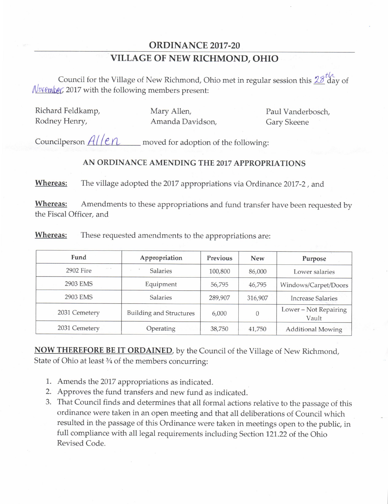## ORDINANCE 2017-20 VILLAGE OF NEW RICHMOND, OHIO

HA Council for the Village of New Richmond, Ohio met in regular session this 20 day of  $\sqrt{\frac{N \text{ v}}{N \text{ c}} \cdot \frac{N}{N}}$  2017 with the following members present:

Richard Feldkamp, Mary Allen, Paul Vanderbosch, Rodney Henry, **Amanda Davidson, Gary Skeene** 

Councilperson  $\frac{A}{I}$   $\left| e \right\rangle$  moved for adoption of the following:

## AN ORDINANCE AMENDING THE 2017 APPROPRIATIONS

Whereas: The village adopted the 2017 appropriations via Ordinance 2017-2, and

Whereas: Amendments to these appropriations and fund transfer have been requested by the Fiscal Officer, and

| Fund                            | Appropriation                  | <b>Previous</b> | <b>New</b> | Purpose                        |
|---------------------------------|--------------------------------|-----------------|------------|--------------------------------|
| $x \in \mathbb{R}$<br>2902 Fire | Salaries                       | 100,800         | 86,000     | Lower salaries                 |
| 2903 EMS                        | Equipment                      | 56,795          | 46,795     | Windows/Carpet/Doors           |
| 2903 EMS                        | Salaries                       | 289,907         | 316,907    | <b>Increase Salaries</b>       |
| 2031 Cemetery                   | <b>Building and Structures</b> | 6,000           | $\theta$   | Lower - Not Repairing<br>Vault |
| 2031 Cemetery                   | Operating                      | 38,750          | 41,750     | <b>Additional Mowing</b>       |

**Whereas:** These requested amendments to the appropriations are:

NOW THEREFORE BE IT ORDAINED, by the Council of the Village of New Richmond, State of Ohio at least 3/4 of the members concurring:

- 1. Amends the 2017 appropriations as indicated.
- 2. Approves the fund transfers and new fund as indicated.
- 3. That Council finds and determines that all formal actions relative to the passage of this ordinance were taken in an open meeting and that all deliberations of Council which resulted in the passage of this Ordinance were taken in meetings open to the public, in full compliance with all legal requirements including Section 121. 22 of the Ohio Revised Code.